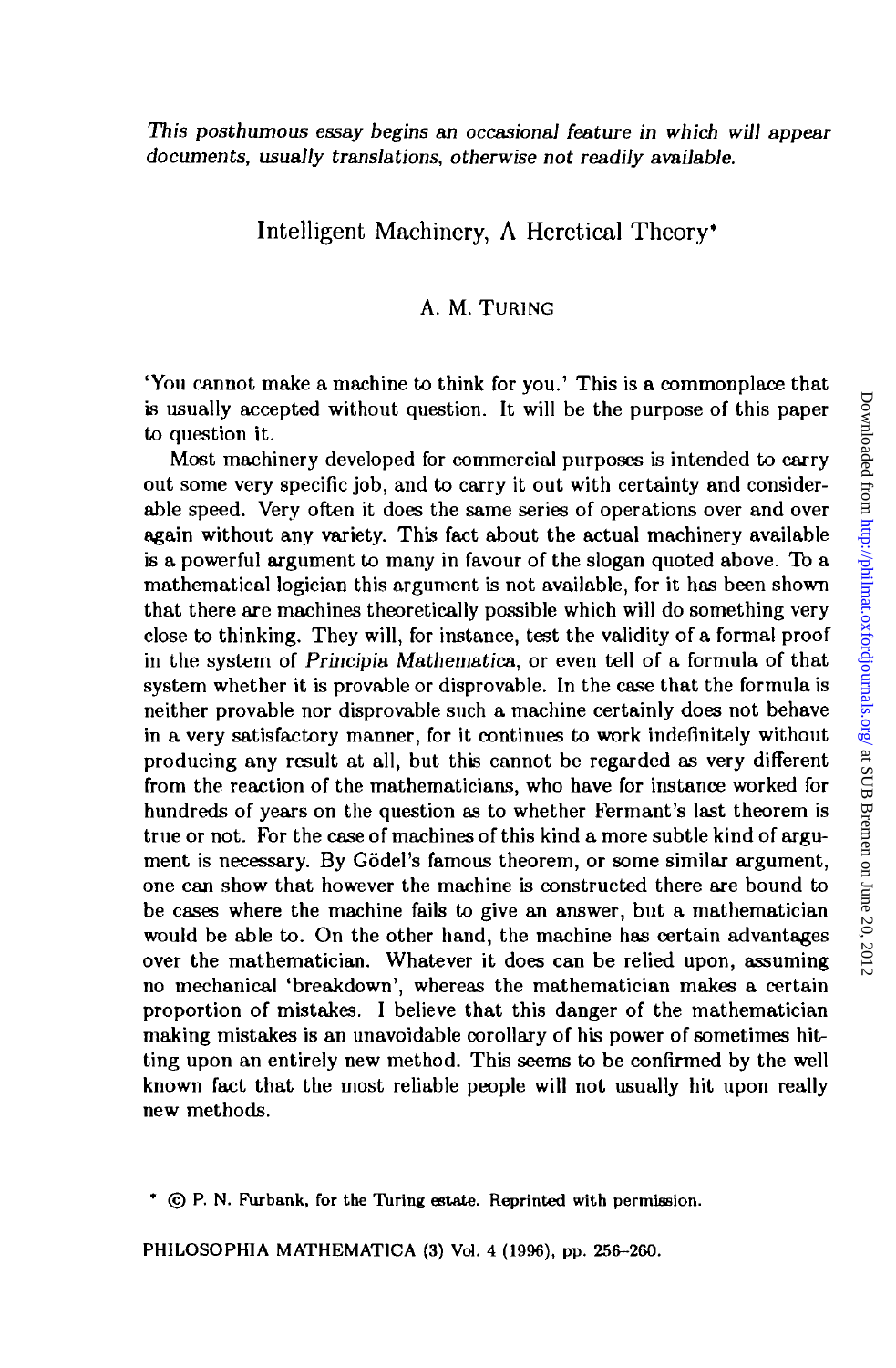*This posthumous* essay *begins an occasioned feature in which will appear documents, usually translations, otherwise not readily available.*

## Intelligent Machinery, A Heretical Theory\*

## A. M. TURING

'You cannot make a machine to think for you.' This is a commonplace that is usually accepted without question. It will be the purpose of this paper to question it.

Most machinery developed for commercial purposes is intended to carry out some very specific job, and to carry it out with certainty and considerable speed. Very often it does the same series of operations over and over again without any variety. This fact about the actual machinery available is a powerful argument to many in favour of the slogan quoted above. To a mathematical logician this argument is not available, for it has been shown that there are machines theoretically possible which will do something very close to thinking. They will, for instance, test the validity of a formal proof in the system of *Principia Mathematica,* or even tell of a formula of that system whether it is provable or disprovable. In the case that the formula is neither provable nor disprovable such a machine certainly does not behave in a very satisfactory manner, for it continues to work indefinitely without producing any result at all, but this cannot be regarded as very different from the reaction of the mathematicians, who have for instance worked for hundreds of years on the question as to whether Fermant's last theorem is true or not. For the case of machines of this kind a more subtle kind of argument is necessary. By Gödel's famous theorem, or some similar argument, one can show that however the machine is constructed there are bound to be cases where the machine fails to give an answer, but a mathematician would be able to. On the other hand, the machine has certain advantages over the mathematician. Whatever it does can be relied upon, assuming no mechanical 'breakdown', whereas the mathematician makes a certain proportion of mistakes. I believe that this danger of the mathematician making mistakes is an unavoidable corollary of his power of sometimes hitting upon an entirely new method. This seems to be confirmed by the well known fact that the most reliable people will not usually hit upon really new methods.

PHILOSOPHIA MATHEMATICA (3) Vol. 4 (1996), pp. 25&-260.

<sup>\* ©</sup> P. N. Furbank, for the Turing estate. Reprinted with permission.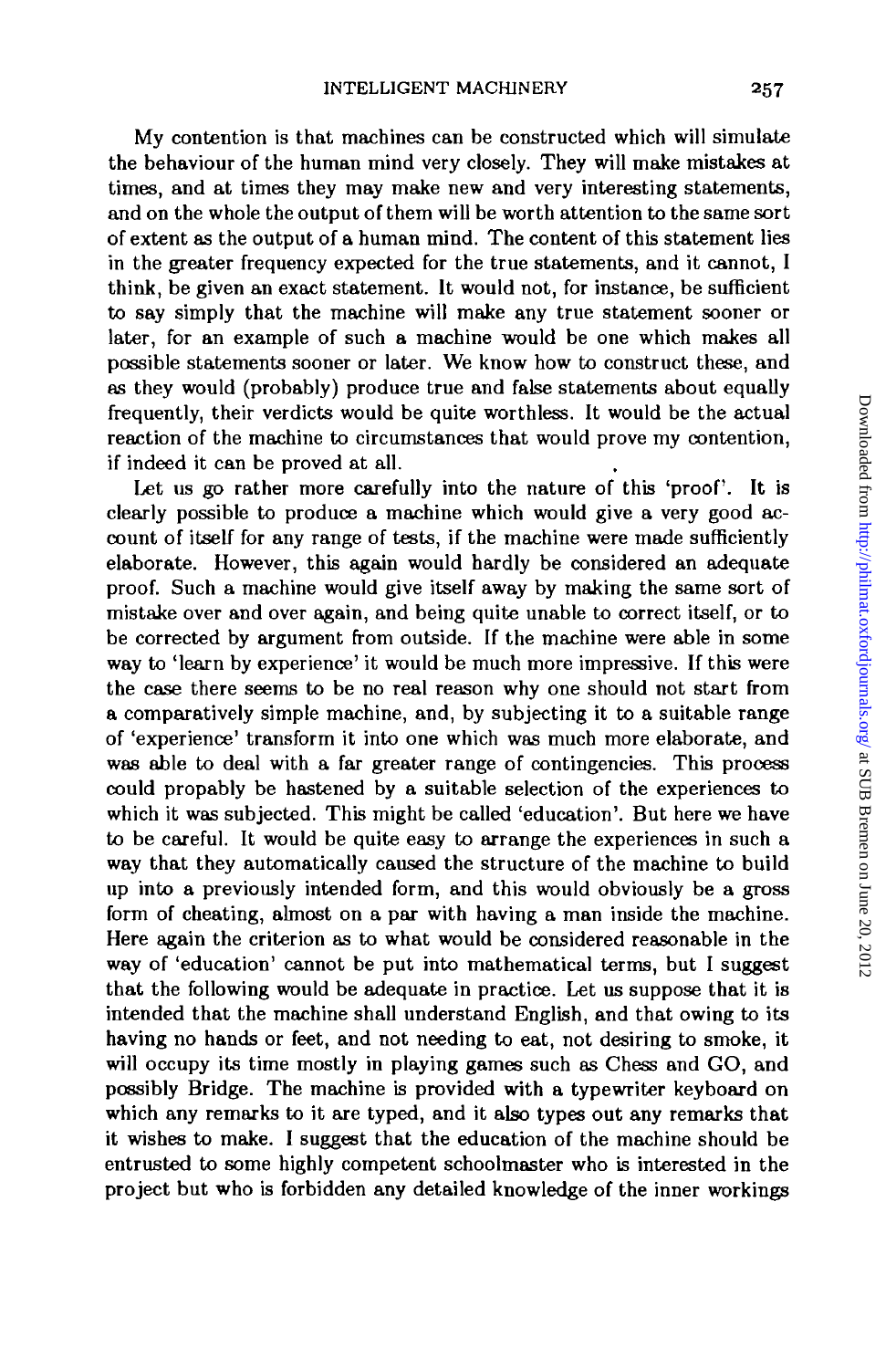My contention is that machines can be constructed which will simulate the behaviour of the human mind very closely. They will make mistakes at times, and at times they may make new and very interesting statements, and on the whole the output of them will be worth attention to the same sort of extent as the output of a human mind. The content of this statement lies in the greater frequency expected for the true statements, and it cannot, I think, be given an exact statement. It would not, for instance, be sufficient to say simply that the machine will make any true statement sooner or later, for an example of such a machine would be one which makes all possible statements sooner or later. We know how to construct these, and as they would (probably) produce true and false statements about equally frequently, their verdicts would be quite worthless. It would be the actual reaction of the machine to circumstances that would prove my contention, if indeed it can be proved at all.

Let us go rather more carefully into the nature of this 'proof'. It is clearly possible to produce a machine which would give a very good account of itself for any range of tests, if the machine were made sufficiently elaborate. However, this again would hardly be considered an adequate proof. Such a machine would give itself away by making the same sort of mistake over and over again, and being quite unable to correct itself, or to be corrected by argument from outside. If the machine were able in some way to 'learn by experience' it would be much more impressive. If this were the case there seems to be no real reason why one should not start from a comparatively simple machine, and, by subjecting it to a suitable range of 'experience' transform it into one which was much more elaborate, and was able to deal with a far greater range of contingencies. This process could propably be hastened by a suitable selection of the experiences to which it was subjected. This might be called 'education'. But here we have to be careful. It would be quite easy to arrange the experiences in such a way that they automatically caused the structure of the machine to build up into a previously intended form, and this would obviously be a gross form of cheating, almost on a par with having a man inside the machine. Here again the criterion as to what would be considered reasonable in the way of 'education' cannot be put into mathematical terms, but I suggest that the following would be adequate in practice. Let us suppose that it is intended that the machine shall understand English, and that owing to its having no hands or feet, and not needing to eat, not desiring to smoke, it will occupy its time mostly in playing games such as Chess and GO, and possibly Bridge. The machine is provided with a typewriter keyboard on which any remarks to it are typed, and it also types out any remarks that it wishes to make. I suggest that the education of the machine should be entrusted to some highly competent schoolmaster who is interested in the project but who is forbidden any detailed knowledge of the inner workings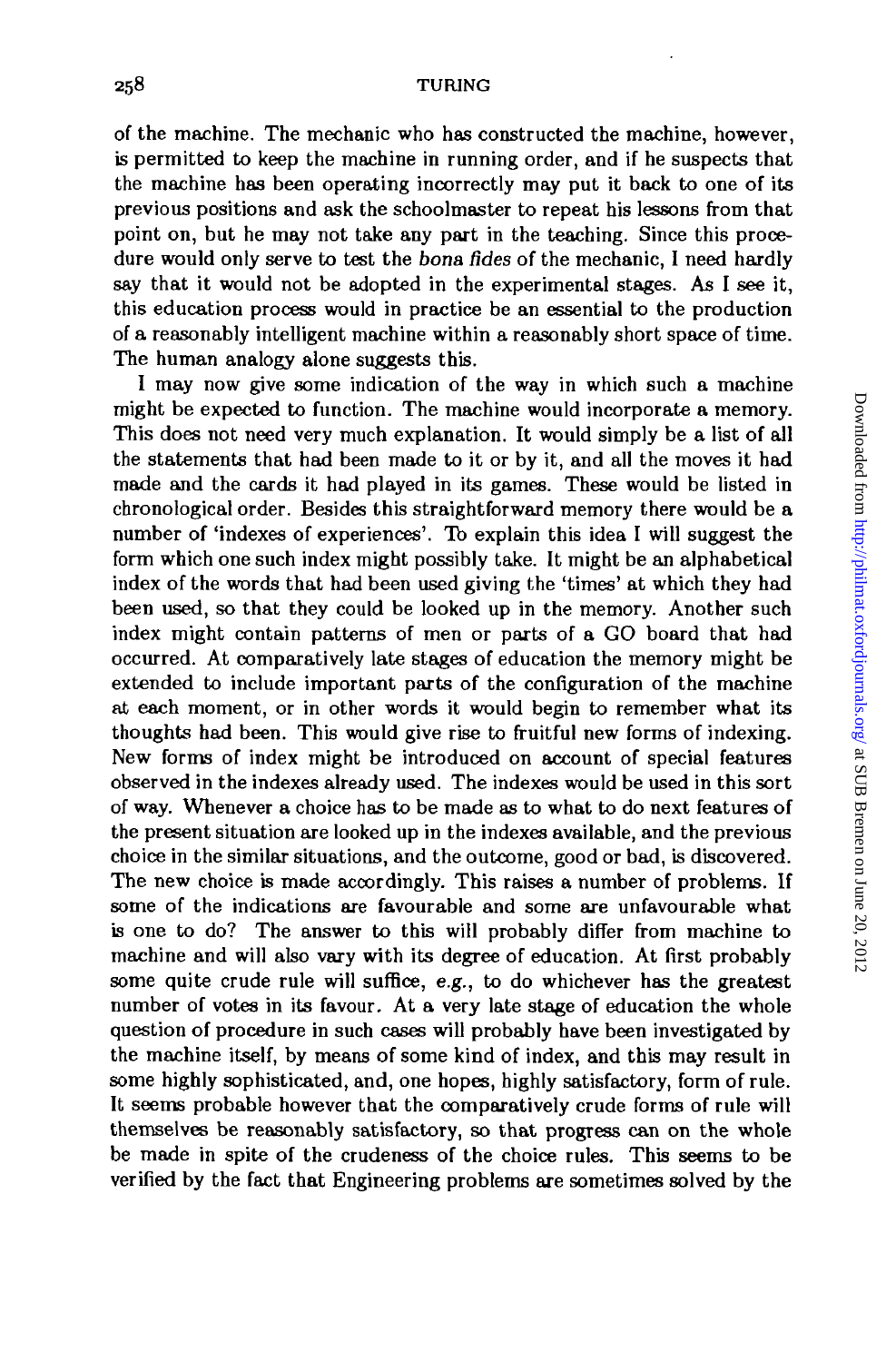## 258 TURING

of the machine. The mechanic who has constructed the machine, however, is permitted to keep the machine in running order, and if he suspects that the machine has been operating incorrectly may put it back to one of its previous positions and ask the schoolmaster to repeat his lessons from that point on, but he may not take any part in the teaching. Since this procedure would only serve to test the bona *fides* of the mechanic, I need hardly say that it would not be adopted in the experimental stages. As I see it, this education process would in practice be an essential to the production of a reasonably intelligent machine within a reasonably short space of time. The human analogy alone suggests this.

I may now give some indication of the way in which such a machine might be expected to function. The machine would incorporate a memory. This does not need very much explanation. It would simply be a list of all the statements that had been made to it or by it, and all the moves it had made and the cards it had played in its games. These would be listed in chronological order. Besides this straightforward memory there would be a number of 'indexes of experiences'. To explain this idea I will suggest the form which one such index might possibly take. It might be an alphabetical index of the words that had been used giving the 'times' at which they had been used, so that they could be looked up in the memory. Another such index might contain patterns of men or parts of a GO board that had occurred. At comparatively late stages of education the memory might be extended to include important parts of the configuration of the machine at each moment, or in other words it would begin to remember what its thoughts had been. This would give rise to fruitful new forms of indexing. New forms of index might be introduced on account of special features observed in the indexes already used. The indexes would be used in this sort of way. Whenever a choice has to be made as to what to do next features of the present situation are looked up in the indexes available, and the previous choice in the similar situations, and the outcome, good or bad, is discovered. The new choice is made accordingly. This raises a number of problems. If some of the indications are favourable and some are unfavourable what is one to do? The answer to this will probably differ from machine to machine and will also vary with its degree of education. At first probably some quite crude rule will suffice, *e.g.,* to do whichever has the greatest number of votes in its favour. At a very late stage of education the whole question of procedure in such cases will probably have been investigated by the machine itself, by means of some kind of index, and this may result in some highly sophisticated, and, one hopes, highly satisfactory, form of rule. It seems probable however that the comparatively crude forms of rule will themselves be reasonably satisfactory, so that progress can on the whole be made in spite of the crudeness of the choice rules. This seems to be verified by the fact that Engineering problems are sometimes solved by the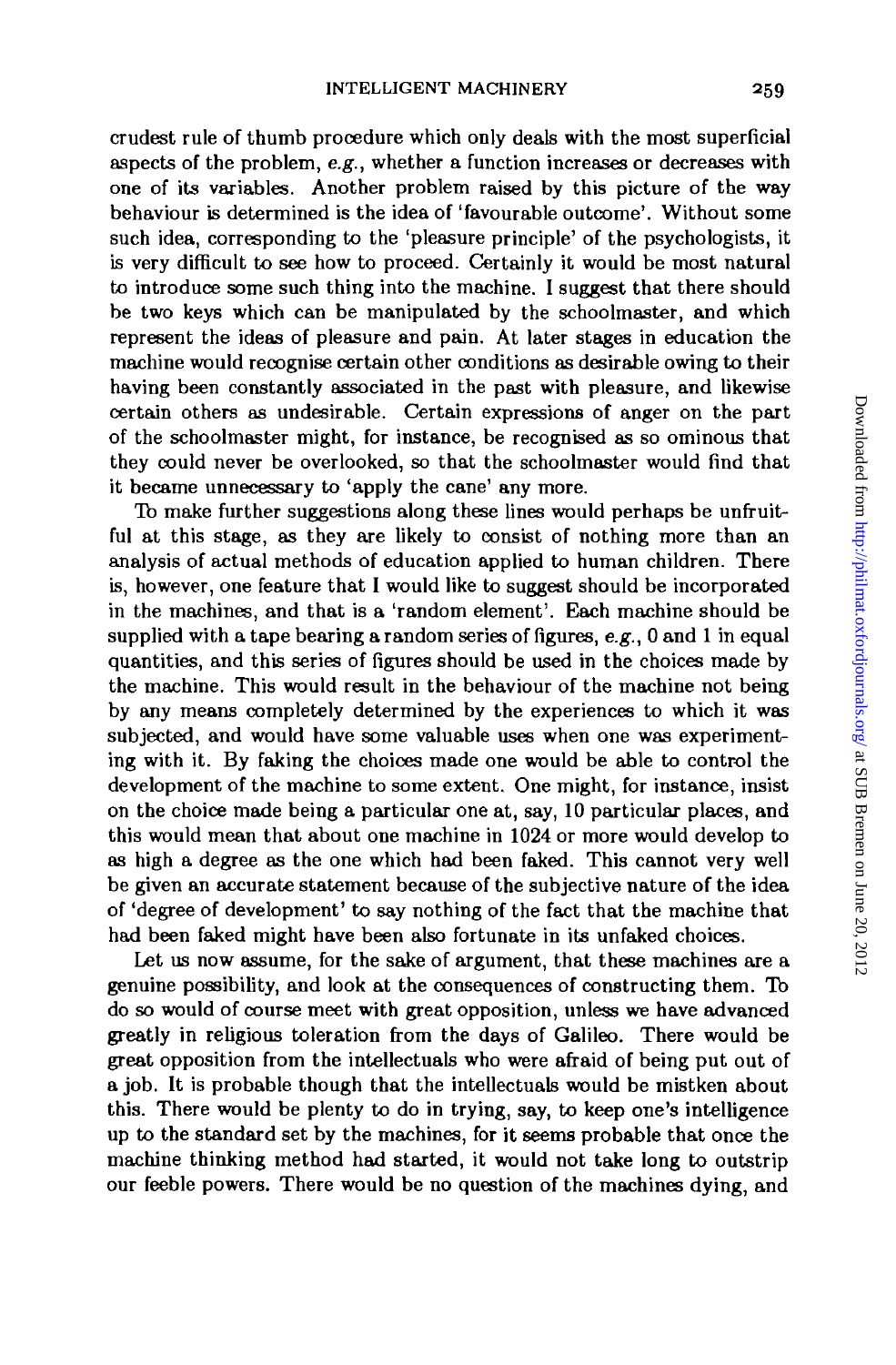crudest rule of thumb procedure which only deals with the most superficial aspects of the problem, *e.g.,* whether a function increases or decreases with one of its variables. Another problem raised by this picture of the way behaviour is determined is the idea of 'favourable outcome'. Without some such idea, corresponding to the 'pleasure principle' of the psychologists, it is very difficult to see how to proceed. Certainly it would be most natural to introduce some such thing into the machine. I suggest that there should be two keys which can be manipulated by the schoolmaster, and which represent the ideas of pleasure and pain. At later stages in education the machine would recognise certain other conditions as desirable owing to their having been constantly associated in the past with pleasure, and likewise certain others as undesirable. Certain expressions of anger on the part of the schoolmaster might, for instance, be recognised as so ominous that they could never be overlooked, so that the schoolmaster would find that it became unnecessary to 'apply the cane' any more.

To make further suggestions along these lines would perhaps be unfruitful at this stage, as they are likely to consist of nothing more than an analysis of actual methods of education applied to human children. There is, however, one feature that I would like to suggest should be incorporated in the machines, and that is a 'random element'. Each machine should be supplied with a tape bearing a random series of figures, *e.g.,* 0 and 1 in equal quantities, and this series of figures should be used in the choices made by the machine. This would result in the behaviour of the machine not being by any means completely determined by the experiences to which it was subjected, and would have some valuable uses when one was experimenting with it. By faking the choices made one would be able to control the development of the machine to some extent. One might, for instance, insist on the choice made being a particular one at, say, 10 particular places, and this would mean that about one machine in 1024 or more would develop to as high a degree as the one which had been faked. This cannot very well be given an accurate statement because of the subjective nature of the idea of 'degree of development' to say nothing of the fact that the machine that had been faked might have been also fortunate in its unfaked choices.

Let us now assume, for the sake of argument, that these machines are a genuine possibility, and look at the consequences of constructing them. To do so would of course meet with great opposition, unless we have advanced greatly in religious toleration from the days of Galileo. There would be great opposition from the intellectuals who were afraid of being put out of a job. It is probable though that the intellectuals would be mistken about this. There would be plenty to do in trying, say, to keep one's intelligence up to the standard set by the machines, for it seems probable that once the machine thinking method had started, it would not take long to outstrip our feeble powers. There would be no question of the machines dying, and